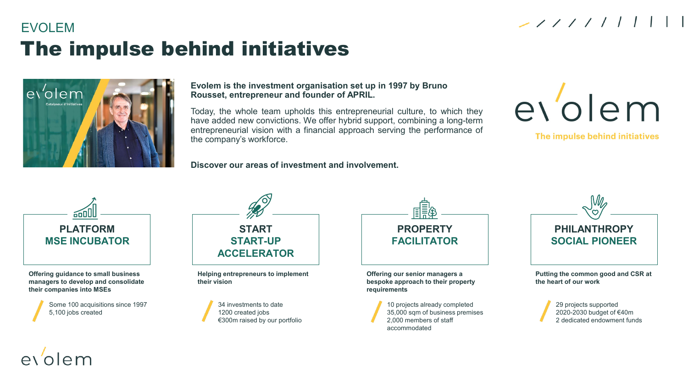## EVOLEM The impulse behind initiatives



**Evolem is the investment organisation set up in 1997 by Bruno Rousset, entrepreneur and founder of APRIL.** 

Today, the whole team upholds this entrepreneurial culture, to which they have added new convictions. We offer hybrid support, combining a long-term entrepreneurial vision with a financial approach serving the performance of the company's workforce.

**Discover our areas of investment and involvement.**

# evolem

 $21111111$ 

The impulse behind initiatives



**Offering guidance to small business managers to develop and consolidate their companies into MSEs**

> Some 100 acquisitions since 1997 5,100 jobs created

olem\